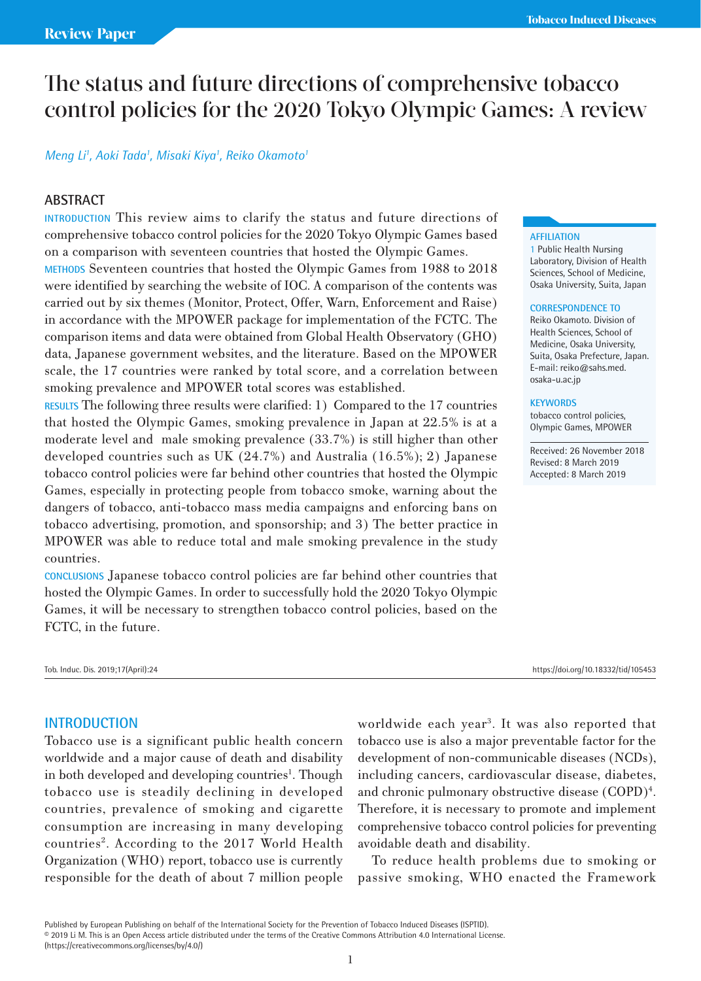# The status and future directions of comprehensive tobacco control policies for the 2020 Tokyo Olympic Games: A review

## *Meng Li1 , Aoki Tada1 , Misaki Kiya1 , Reiko Okamoto1*

## **ABSTRACT**

**INTRODUCTION** This review aims to clarify the status and future directions of comprehensive tobacco control policies for the 2020 Tokyo Olympic Games based on a comparison with seventeen countries that hosted the Olympic Games. **METHODS** Seventeen countries that hosted the Olympic Games from 1988 to 2018 were identified by searching the website of IOC. A comparison of the contents was carried out by six themes (Monitor, Protect, Offer, Warn, Enforcement and Raise) in accordance with the MPOWER package for implementation of the FCTC. The comparison items and data were obtained from Global Health Observatory (GHO) data, Japanese government websites, and the literature. Based on the MPOWER scale, the 17 countries were ranked by total score, and a correlation between smoking prevalence and MPOWER total scores was established.

**RESULTS** The following three results were clarified: 1) Compared to the 17 countries that hosted the Olympic Games, smoking prevalence in Japan at 22.5% is at a moderate level and male smoking prevalence (33.7%) is still higher than other developed countries such as UK (24.7%) and Australia (16.5%); 2) Japanese tobacco control policies were far behind other countries that hosted the Olympic Games, especially in protecting people from tobacco smoke, warning about the dangers of tobacco, anti-tobacco mass media campaigns and enforcing bans on tobacco advertising, promotion, and sponsorship; and 3) The better practice in MPOWER was able to reduce total and male smoking prevalence in the study countries.

**CONCLUSIONS** Japanese tobacco control policies are far behind other countries that hosted the Olympic Games. In order to successfully hold the 2020 Tokyo Olympic Games, it will be necessary to strengthen tobacco control policies, based on the FCTC, in the future.

Tob. Induc. Dis. 2019;17(April):24 https://doi.org/10.18332/tid/105453

## **INTRODUCTION**

Tobacco use is a significant public health concern worldwide and a major cause of death and disability in both developed and developing countries<sup>1</sup>. Though tobacco use is steadily declining in developed countries, prevalence of smoking and cigarette consumption are increasing in many developing countries<sup>2</sup>. According to the 2017 World Health Organization (WHO) report, tobacco use is currently responsible for the death of about 7 million people

# worldwide each year<sup>3</sup>. It was also reported that tobacco use is also a major preventable factor for the development of non-communicable diseases (NCDs), including cancers, cardiovascular disease, diabetes, and chronic pulmonary obstructive disease (COPD)<sup>4</sup>. Therefore, it is necessary to promote and implement comprehensive tobacco control policies for preventing avoidable death and disability.

To reduce health problems due to smoking or passive smoking, WHO enacted the Framework

#### **AFFILIATION**

1 Public Health Nursing Laboratory, Division of Health Sciences, School of Medicine, Osaka University, Suita, Japan

#### **CORRESPONDENCE TO**

Reiko Okamoto. Division of Health Sciences, School of Medicine, Osaka University, Suita, Osaka Prefecture, Japan. E-mail: reiko@sahs.med. osaka-u.ac.jp

#### **KEYWORDS**

tobacco control policies, Olympic Games, MPOWER

Received: 26 November 2018 Revised: 8 March 2019 Accepted: 8 March 2019

Published by European Publishing on behalf of the International Society for the Prevention of Tobacco Induced Diseases (ISPTID). © 2019 Li M. This is an Open Access article distributed under the terms of the Creative Commons Attribution 4.0 International License. (https://creativecommons.org/licenses/by/4.0/)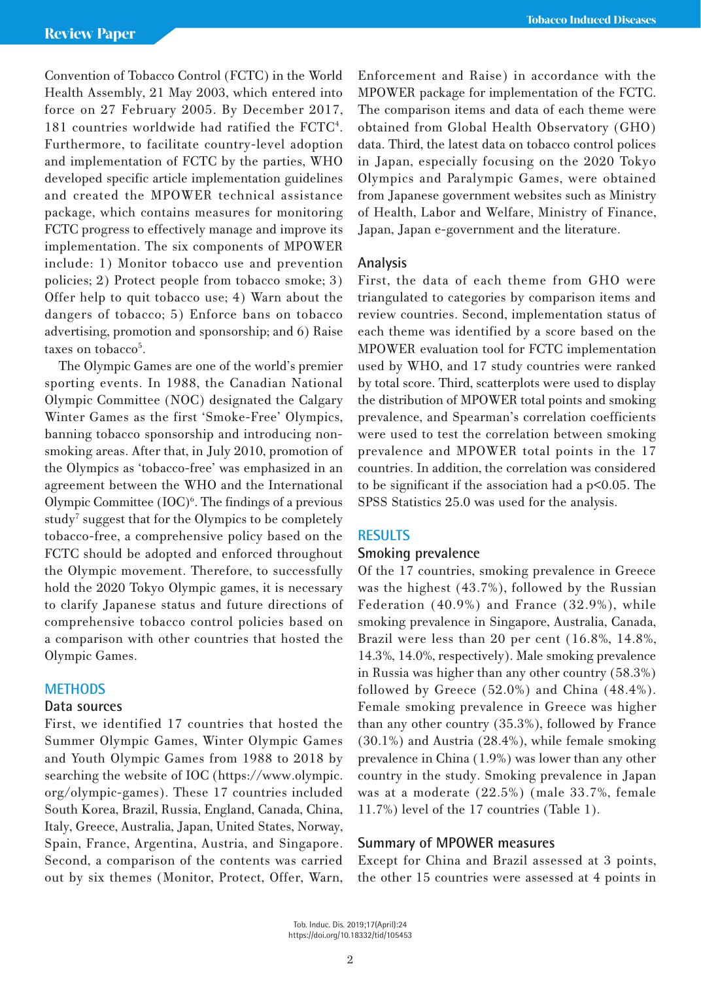Convention of Tobacco Control (FCTC) in the World Health Assembly, 21 May 2003, which entered into force on 27 February 2005. By December 2017, 181 countries worldwide had ratified the FCTC4 . Furthermore, to facilitate country-level adoption and implementation of FCTC by the parties, WHO developed specific article implementation guidelines and created the MPOWER technical assistance package, which contains measures for monitoring FCTC progress to effectively manage and improve its implementation. The six components of MPOWER include: 1) Monitor tobacco use and prevention policies; 2) Protect people from tobacco smoke; 3) Offer help to quit tobacco use; 4) Warn about the dangers of tobacco; 5) Enforce bans on tobacco advertising, promotion and sponsorship; and 6) Raise taxes on tobacco<sup>5</sup>.

The Olympic Games are one of the world's premier sporting events. In 1988, the Canadian National Olympic Committee (NOC) designated the Calgary Winter Games as the first 'Smoke-Free' Olympics, banning tobacco sponsorship and introducing nonsmoking areas. After that, in July 2010, promotion of the Olympics as 'tobacco-free' was emphasized in an agreement between the WHO and the International Olympic Committee  $(IOC)<sup>6</sup>$ . The findings of a previous study<sup>7</sup> suggest that for the Olympics to be completely tobacco-free, a comprehensive policy based on the FCTC should be adopted and enforced throughout the Olympic movement. Therefore, to successfully hold the 2020 Tokyo Olympic games, it is necessary to clarify Japanese status and future directions of comprehensive tobacco control policies based on a comparison with other countries that hosted the Olympic Games.

## **METHODS**

#### **Data sources**

First, we identified 17 countries that hosted the Summer Olympic Games, Winter Olympic Games and Youth Olympic Games from 1988 to 2018 by searching the website of IOC (https://www.olympic. org/olympic-games). These 17 countries included South Korea, Brazil, Russia, England, Canada, China, Italy, Greece, Australia, Japan, United States, Norway, Spain, France, Argentina, Austria, and Singapore. Second, a comparison of the contents was carried out by six themes (Monitor, Protect, Offer, Warn, Enforcement and Raise) in accordance with the MPOWER package for implementation of the FCTC. The comparison items and data of each theme were obtained from Global Health Observatory (GHO) data. Third, the latest data on tobacco control polices in Japan, especially focusing on the 2020 Tokyo Olympics and Paralympic Games, were obtained from Japanese government websites such as Ministry of Health, Labor and Welfare, Ministry of Finance, Japan, Japan e-government and the literature.

## **Analysis**

First, the data of each theme from GHO were triangulated to categories by comparison items and review countries. Second, implementation status of each theme was identified by a score based on the MPOWER evaluation tool for FCTC implementation used by WHO, and 17 study countries were ranked by total score. Third, scatterplots were used to display the distribution of MPOWER total points and smoking prevalence, and Spearman's correlation coefficients were used to test the correlation between smoking prevalence and MPOWER total points in the 17 countries. In addition, the correlation was considered to be significant if the association had a  $p<0.05$ . The SPSS Statistics 25.0 was used for the analysis.

## **RESULTS**

## **Smoking prevalence**

Of the 17 countries, smoking prevalence in Greece was the highest (43.7%), followed by the Russian Federation (40.9%) and France (32.9%), while smoking prevalence in Singapore, Australia, Canada, Brazil were less than 20 per cent (16.8%, 14.8%, 14.3%, 14.0%, respectively). Male smoking prevalence in Russia was higher than any other country (58.3%) followed by Greece (52.0%) and China (48.4%). Female smoking prevalence in Greece was higher than any other country (35.3%), followed by France (30.1%) and Austria (28.4%), while female smoking prevalence in China (1.9%) was lower than any other country in the study. Smoking prevalence in Japan was at a moderate (22.5%) (male 33.7%, female 11.7%) level of the 17 countries (Table 1).

## **Summary of MPOWER measures**

Except for China and Brazil assessed at 3 points, the other 15 countries were assessed at 4 points in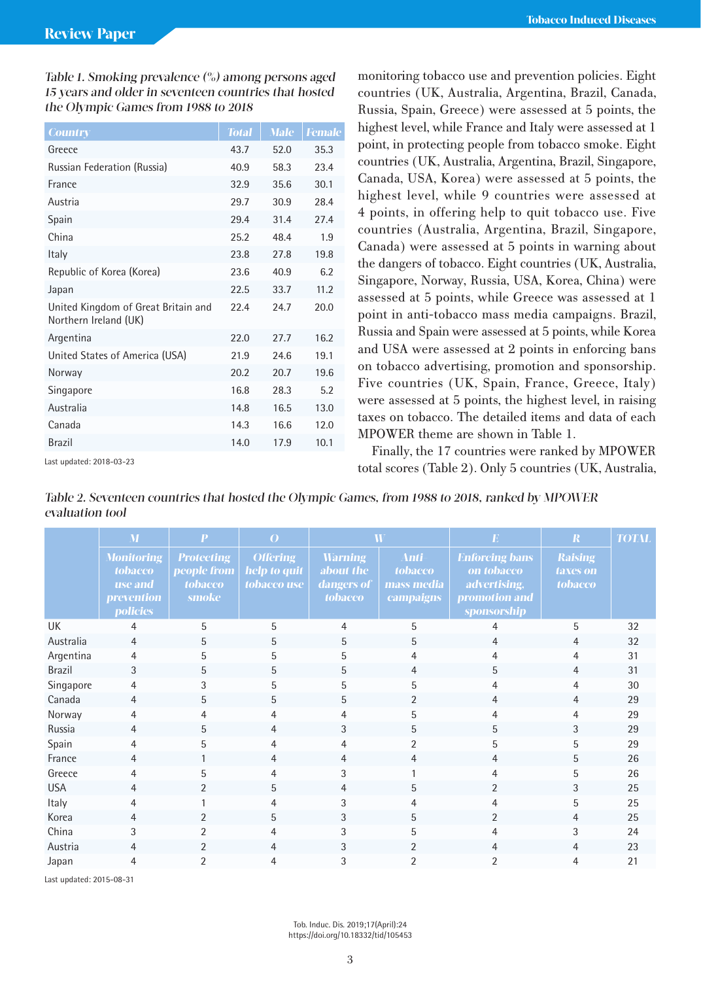Table 1. Smoking prevalence (%) among persons aged 15 years and older in seventeen countries that hosted the Olympic Games from 1988 to 2018

| <b>Country</b>                                               | <b>Total</b> | <b>Male</b> | <b>Female</b> |
|--------------------------------------------------------------|--------------|-------------|---------------|
| Greece                                                       | 43.7         | 52.0        | 35.3          |
| Russian Federation (Russia)                                  | 40.9         | 58.3        | 23.4          |
| France                                                       | 32.9         | 35.6        | 30.1          |
| Austria                                                      | 29.7         | 30.9        | 28.4          |
| Spain                                                        | 29.4         | 31.4        | 27.4          |
| China                                                        | 25.2         | 48.4        | 1.9           |
| Italy                                                        | 23.8         | 27.8        | 19.8          |
| Republic of Korea (Korea)                                    | 23.6         | 40.9        | 6.2           |
| Japan                                                        | 22.5         | 33.7        | 11.2          |
| United Kingdom of Great Britain and<br>Northern Ireland (UK) | 22.4         | 24.7        | 20.0          |
| Argentina                                                    | 22.0         | 27.7        | 16.2          |
| United States of America (USA)                               | 21.9         | 24.6        | 19.1          |
| Norway                                                       | 20.2         | 20.7        | 19.6          |
| Singapore                                                    | 16.8         | 28.3        | 5.2           |
| Australia                                                    | 14.8         | 16.5        | 13.0          |
| Canada                                                       | 14.3         | 16.6        | 12.0          |
| <b>Brazil</b>                                                | 14.0         | 17.9        | 10.1          |

Last updated: 2018-03-23

MPOWER theme are shown in Table 1. Finally, the 17 countries were ranked by MPOWER total scores (Table 2). Only 5 countries (UK, Australia,

monitoring tobacco use and prevention policies. Eight countries (UK, Australia, Argentina, Brazil, Canada, Russia, Spain, Greece) were assessed at 5 points, the highest level, while France and Italy were assessed at 1 point, in protecting people from tobacco smoke. Eight countries (UK, Australia, Argentina, Brazil, Singapore, Canada, USA, Korea) were assessed at 5 points, the highest level, while 9 countries were assessed at 4 points, in offering help to quit tobacco use. Five countries (Australia, Argentina, Brazil, Singapore, Canada) were assessed at 5 points in warning about the dangers of tobacco. Eight countries (UK, Australia, Singapore, Norway, Russia, USA, Korea, China) were assessed at 5 points, while Greece was assessed at 1 point in anti-tobacco mass media campaigns. Brazil, Russia and Spain were assessed at 5 points, while Korea and USA were assessed at 2 points in enforcing bans on tobacco advertising, promotion and sponsorship. Five countries (UK, Spain, France, Greece, Italy) were assessed at 5 points, the highest level, in raising taxes on tobacco. The detailed items and data of each

| Table 2. Seventeen countries that hosted the Olympic Games, from 1988 to 2018, ranked by MPOWER |  |
|-------------------------------------------------------------------------------------------------|--|
| evaluation tool                                                                                 |  |

|               | M                                                                                             | $\mathbf{P}$                                                       | $\overline{O}$                                 | $\overline{\bf W}$                                          |                                                           | E                                                                                   | $\boldsymbol{R}$                      | <b>TOTAL</b> |
|---------------|-----------------------------------------------------------------------------------------------|--------------------------------------------------------------------|------------------------------------------------|-------------------------------------------------------------|-----------------------------------------------------------|-------------------------------------------------------------------------------------|---------------------------------------|--------------|
|               | <b>Monitoring</b><br><b>tobacco</b><br><b>use</b> and<br><i>prevention</i><br><b>policies</b> | <b>Protecting</b><br>people from<br><b>tobacco</b><br><b>smoke</b> | <b>Offering</b><br>help to quit<br>tobacco use | <b>Warning</b><br>about the<br>dangers of<br><b>tobacco</b> | Anti-<br><b>tobacco</b><br>mass media<br><b>campaigns</b> | <b>Enforcing bans</b><br>on tobacco<br>advertising,<br>promotion and<br>sponsorship | <b>Raising</b><br>taxes on<br>tobacco |              |
| UK            | 4                                                                                             | 5                                                                  | 5                                              | 4                                                           | 5                                                         | 4                                                                                   | 5                                     | 32           |
| Australia     | $\overline{4}$                                                                                | 5                                                                  | 5                                              | 5                                                           | 5                                                         | 4                                                                                   | 4                                     | 32           |
| Argentina     | 4                                                                                             | 5                                                                  | 5                                              | 5                                                           | 4                                                         | 4                                                                                   | 4                                     | 31           |
| <b>Brazil</b> | 3                                                                                             | 5                                                                  | 5                                              | 5                                                           | $\overline{4}$                                            | 5                                                                                   | $\overline{4}$                        | 31           |
| Singapore     | 4                                                                                             | 3                                                                  | 5                                              | 5                                                           | 5                                                         | 4                                                                                   | 4                                     | 30           |
| Canada        | 4                                                                                             | 5                                                                  | 5                                              | 5                                                           | $\overline{2}$                                            | 4                                                                                   | $\overline{4}$                        | 29           |
| Norway        | 4                                                                                             | 4                                                                  | 4                                              |                                                             | 5                                                         | 4                                                                                   | 4                                     | 29           |
| Russia        | 4                                                                                             | 5                                                                  | $\overline{4}$                                 | 3                                                           | 5                                                         | 5                                                                                   | 3                                     | 29           |
| Spain         | 4                                                                                             | 5                                                                  | 4                                              | 4                                                           | $\overline{2}$                                            | 5                                                                                   | 5                                     | 29           |
| France        | 4                                                                                             |                                                                    | 4                                              | 4                                                           | 4                                                         | 4                                                                                   | 5                                     | 26           |
| Greece        | 4                                                                                             | 5                                                                  | 4                                              | 3                                                           |                                                           | 4                                                                                   | 5                                     | 26           |
| <b>USA</b>    | 4                                                                                             | $\overline{2}$                                                     | 5                                              | 4                                                           | 5                                                         | 2                                                                                   | 3                                     | 25           |
| Italy         | 4                                                                                             |                                                                    | 4                                              | 3                                                           | 4                                                         | 4                                                                                   | 5                                     | 25           |
| Korea         | 4                                                                                             | $\overline{2}$                                                     | 5                                              | 3                                                           | 5                                                         | $\overline{2}$                                                                      | 4                                     | 25           |
| China         | 3                                                                                             | $\mathfrak{p}$                                                     | 4                                              | 3                                                           | 5                                                         | 4                                                                                   | 3                                     | 24           |
| Austria       | 4                                                                                             | $\overline{2}$                                                     | 4                                              | 3                                                           | $\overline{2}$                                            | 4                                                                                   | $\overline{4}$                        | 23           |
| Japan         | 4                                                                                             | 2                                                                  | 4                                              | 3                                                           | 2                                                         | $\overline{2}$                                                                      | 4                                     | 21           |

Last updated: 2015-08-31

Tob. Induc. Dis. 2019;17(April):24 https://doi.org/10.18332/tid/105453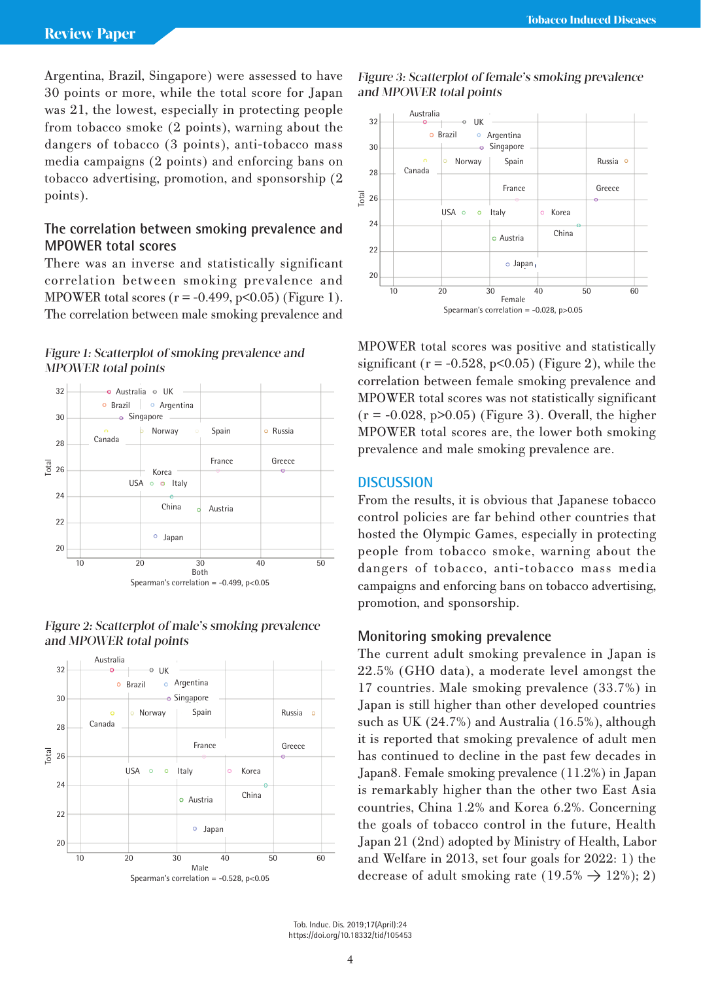Argentina, Brazil, Singapore) were assessed to have 30 points or more, while the total score for Japan was 21, the lowest, especially in protecting people from tobacco smoke (2 points), warning about the dangers of tobacco (3 points), anti-tobacco mass media campaigns (2 points) and enforcing bans on tobacco advertising, promotion, and sponsorship (2 points).

# **The correlation between smoking prevalence and MPOWER total scores**

There was an inverse and statistically significant correlation between smoking prevalence and MPOWER total scores  $(r = -0.499, p < 0.05)$  (Figure 1). The correlation between male smoking prevalence and

## Figure 1: Scatterplot of smoking prevalence and MPOWER total points



## Figure 2: Scatterplot of male's smoking prevalence and MPOWER total points



## Figure 3: Scatterplot of female's smoking prevalence and MPOWER total points



MPOWER total scores was positive and statistically significant ( $r = -0.528$ ,  $p < 0.05$ ) (Figure 2), while the correlation between female smoking prevalence and MPOWER total scores was not statistically significant  $(r = -0.028, p > 0.05)$  (Figure 3). Overall, the higher MPOWER total scores are, the lower both smoking prevalence and male smoking prevalence are.

# **DISCUSSION**

From the results, it is obvious that Japanese tobacco control policies are far behind other countries that hosted the Olympic Games, especially in protecting people from tobacco smoke, warning about the dangers of tobacco, anti-tobacco mass media campaigns and enforcing bans on tobacco advertising, promotion, and sponsorship.

## **Monitoring smoking prevalence**

The current adult smoking prevalence in Japan is 22.5% (GHO data), a moderate level amongst the 17 countries. Male smoking prevalence (33.7%) in Japan is still higher than other developed countries such as UK (24.7%) and Australia (16.5%), although it is reported that smoking prevalence of adult men has continued to decline in the past few decades in Japan8. Female smoking prevalence (11.2%) in Japan is remarkably higher than the other two East Asia countries, China 1.2% and Korea 6.2%. Concerning the goals of tobacco control in the future, Health Japan 21 (2nd) adopted by Ministry of Health, Labor and Welfare in 2013, set four goals for 2022: 1) the decrease of adult smoking rate (19.5%  $\rightarrow$  12%); 2)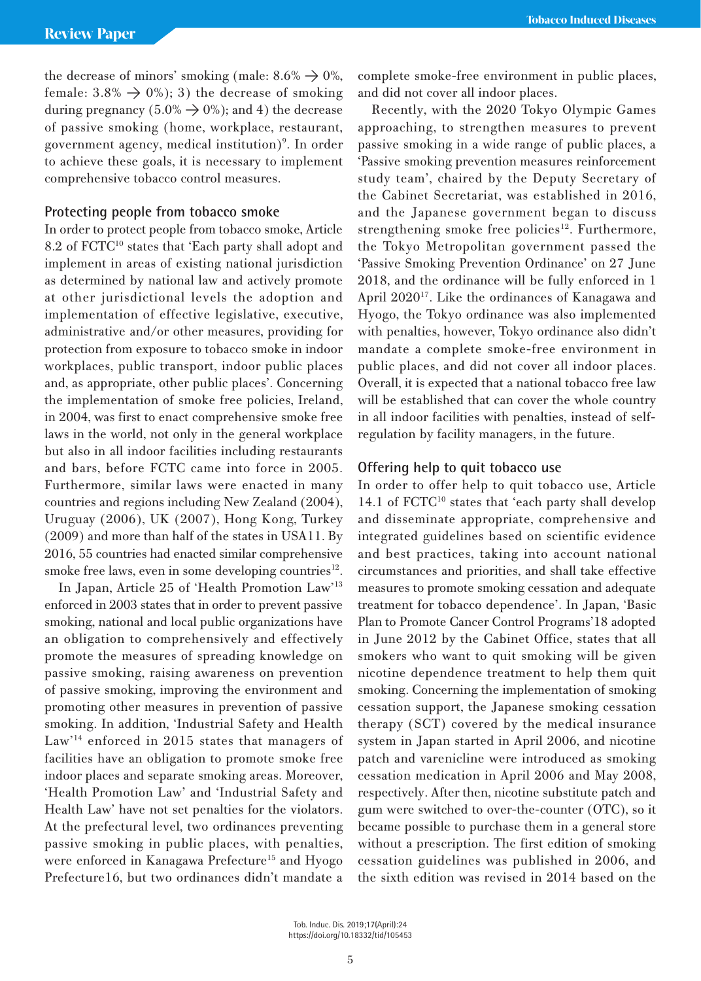the decrease of minors' smoking (male:  $8.6\% \rightarrow 0\%$ , female:  $3.8\% \rightarrow 0\%$ ; 3) the decrease of smoking during pregnancy (5.0%  $\rightarrow$  0%); and 4) the decrease of passive smoking (home, workplace, restaurant, government agency, medical institution)<sup>9</sup>. In order to achieve these goals, it is necessary to implement comprehensive tobacco control measures.

## **Protecting people from tobacco smoke**

In order to protect people from tobacco smoke, Article 8.2 of FCTC10 states that 'Each party shall adopt and implement in areas of existing national jurisdiction as determined by national law and actively promote at other jurisdictional levels the adoption and implementation of effective legislative, executive, administrative and/or other measures, providing for protection from exposure to tobacco smoke in indoor workplaces, public transport, indoor public places and, as appropriate, other public places'. Concerning the implementation of smoke free policies, Ireland, in 2004, was first to enact comprehensive smoke free laws in the world, not only in the general workplace but also in all indoor facilities including restaurants and bars, before FCTC came into force in 2005. Furthermore, similar laws were enacted in many countries and regions including New Zealand (2004), Uruguay (2006), UK (2007), Hong Kong, Turkey (2009) and more than half of the states in USA11. By 2016, 55 countries had enacted similar comprehensive smoke free laws, even in some developing countries $^{12}$ .

In Japan, Article 25 of 'Health Promotion Law'13 enforced in 2003 states that in order to prevent passive smoking, national and local public organizations have an obligation to comprehensively and effectively promote the measures of spreading knowledge on passive smoking, raising awareness on prevention of passive smoking, improving the environment and promoting other measures in prevention of passive smoking. In addition, 'Industrial Safety and Health Law'14 enforced in 2015 states that managers of facilities have an obligation to promote smoke free indoor places and separate smoking areas. Moreover, 'Health Promotion Law' and 'Industrial Safety and Health Law' have not set penalties for the violators. At the prefectural level, two ordinances preventing passive smoking in public places, with penalties, were enforced in Kanagawa Prefecture<sup>15</sup> and Hyogo Prefecture16, but two ordinances didn't mandate a

complete smoke-free environment in public places, and did not cover all indoor places.

Recently, with the 2020 Tokyo Olympic Games approaching, to strengthen measures to prevent passive smoking in a wide range of public places, a 'Passive smoking prevention measures reinforcement study team', chaired by the Deputy Secretary of the Cabinet Secretariat, was established in 2016, and the Japanese government began to discuss strengthening smoke free policies<sup>12</sup>. Furthermore, the Tokyo Metropolitan government passed the 'Passive Smoking Prevention Ordinance' on 27 June 2018, and the ordinance will be fully enforced in 1 April 2020<sup>17</sup>. Like the ordinances of Kanagawa and Hyogo, the Tokyo ordinance was also implemented with penalties, however, Tokyo ordinance also didn't mandate a complete smoke-free environment in public places, and did not cover all indoor places. Overall, it is expected that a national tobacco free law will be established that can cover the whole country in all indoor facilities with penalties, instead of selfregulation by facility managers, in the future.

## **Offering help to quit tobacco use**

In order to offer help to quit tobacco use, Article 14.1 of FCTC<sup>10</sup> states that 'each party shall develop and disseminate appropriate, comprehensive and integrated guidelines based on scientific evidence and best practices, taking into account national circumstances and priorities, and shall take effective measures to promote smoking cessation and adequate treatment for tobacco dependence'. In Japan, 'Basic Plan to Promote Cancer Control Programs'18 adopted in June 2012 by the Cabinet Office, states that all smokers who want to quit smoking will be given nicotine dependence treatment to help them quit smoking. Concerning the implementation of smoking cessation support, the Japanese smoking cessation therapy (SCT) covered by the medical insurance system in Japan started in April 2006, and nicotine patch and varenicline were introduced as smoking cessation medication in April 2006 and May 2008, respectively. After then, nicotine substitute patch and gum were switched to over-the-counter (OTC), so it became possible to purchase them in a general store without a prescription. The first edition of smoking cessation guidelines was published in 2006, and the sixth edition was revised in 2014 based on the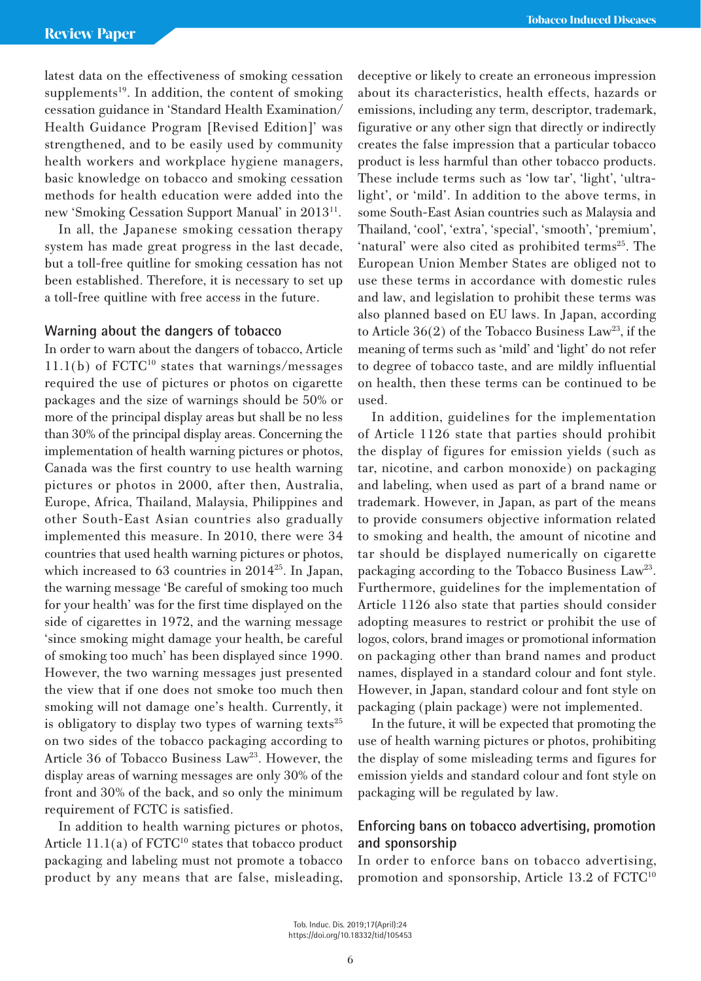latest data on the effectiveness of smoking cessation supplements<sup>19</sup>. In addition, the content of smoking cessation guidance in 'Standard Health Examination/ Health Guidance Program [Revised Edition]' was strengthened, and to be easily used by community health workers and workplace hygiene managers, basic knowledge on tobacco and smoking cessation methods for health education were added into the new 'Smoking Cessation Support Manual' in 201311.

In all, the Japanese smoking cessation therapy system has made great progress in the last decade, but a toll-free quitline for smoking cessation has not been established. Therefore, it is necessary to set up a toll-free quitline with free access in the future.

## **Warning about the dangers of tobacco**

In order to warn about the dangers of tobacco, Article  $11.1(b)$  of  $FCTC<sup>10</sup>$  states that warnings/messages required the use of pictures or photos on cigarette packages and the size of warnings should be 50% or more of the principal display areas but shall be no less than 30% of the principal display areas. Concerning the implementation of health warning pictures or photos, Canada was the first country to use health warning pictures or photos in 2000, after then, Australia, Europe, Africa, Thailand, Malaysia, Philippines and other South-East Asian countries also gradually implemented this measure. In 2010, there were 34 countries that used health warning pictures or photos, which increased to 63 countries in 2014<sup>25</sup>. In Japan, the warning message 'Be careful of smoking too much for your health' was for the first time displayed on the side of cigarettes in 1972, and the warning message 'since smoking might damage your health, be careful of smoking too much' has been displayed since 1990. However, the two warning messages just presented the view that if one does not smoke too much then smoking will not damage one's health. Currently, it is obligatory to display two types of warning texts<sup>25</sup> on two sides of the tobacco packaging according to Article 36 of Tobacco Business Law<sup>23</sup>. However, the display areas of warning messages are only 30% of the front and 30% of the back, and so only the minimum requirement of FCTC is satisfied.

In addition to health warning pictures or photos, Article  $11.1(a)$  of  $\text{FCTC}^{10}$  states that tobacco product packaging and labeling must not promote a tobacco product by any means that are false, misleading, deceptive or likely to create an erroneous impression about its characteristics, health effects, hazards or emissions, including any term, descriptor, trademark, figurative or any other sign that directly or indirectly creates the false impression that a particular tobacco product is less harmful than other tobacco products. These include terms such as 'low tar', 'light', 'ultralight', or 'mild'. In addition to the above terms, in some South-East Asian countries such as Malaysia and Thailand, 'cool', 'extra', 'special', 'smooth', 'premium', 'natural' were also cited as prohibited terms<sup>25</sup>. The European Union Member States are obliged not to use these terms in accordance with domestic rules and law, and legislation to prohibit these terms was also planned based on EU laws. In Japan, according to Article  $36(2)$  of the Tobacco Business Law<sup>23</sup>, if the meaning of terms such as 'mild' and 'light' do not refer to degree of tobacco taste, and are mildly influential on health, then these terms can be continued to be used.

In addition, guidelines for the implementation of Article 1126 state that parties should prohibit the display of figures for emission yields (such as tar, nicotine, and carbon monoxide) on packaging and labeling, when used as part of a brand name or trademark. However, in Japan, as part of the means to provide consumers objective information related to smoking and health, the amount of nicotine and tar should be displayed numerically on cigarette packaging according to the Tobacco Business Law<sup>23</sup>. Furthermore, guidelines for the implementation of Article 1126 also state that parties should consider adopting measures to restrict or prohibit the use of logos, colors, brand images or promotional information on packaging other than brand names and product names, displayed in a standard colour and font style. However, in Japan, standard colour and font style on packaging (plain package) were not implemented.

In the future, it will be expected that promoting the use of health warning pictures or photos, prohibiting the display of some misleading terms and figures for emission yields and standard colour and font style on packaging will be regulated by law.

# **Enforcing bans on tobacco advertising, promotion and sponsorship**

In order to enforce bans on tobacco advertising, promotion and sponsorship, Article 13.2 of FCTC10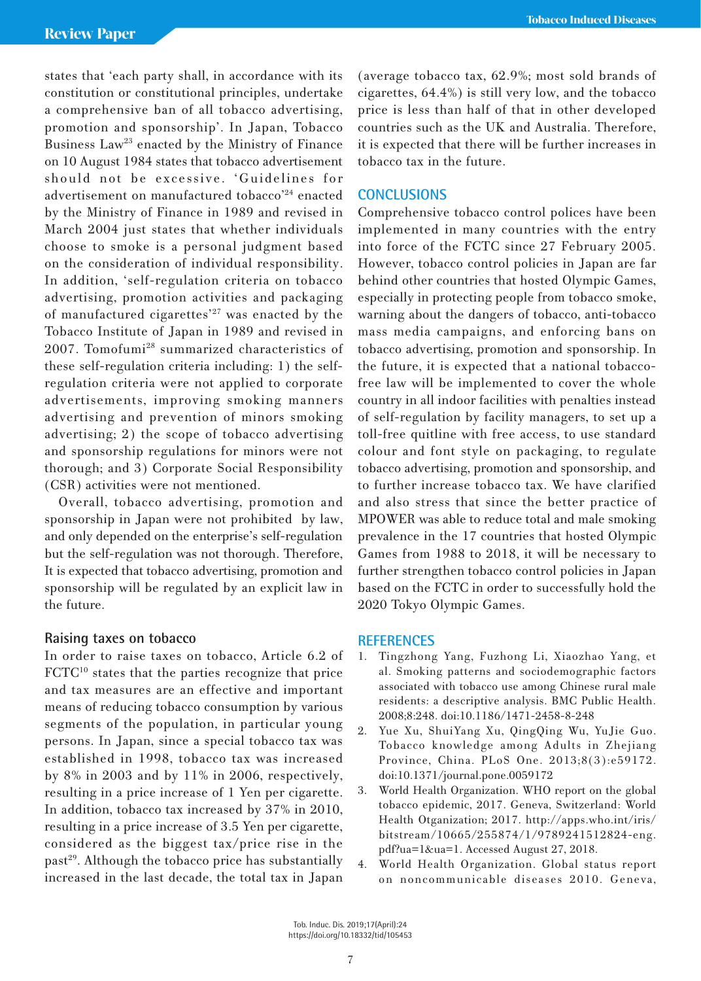states that 'each party shall, in accordance with its constitution or constitutional principles, undertake a comprehensive ban of all tobacco advertising, promotion and sponsorship'. In Japan, Tobacco Business Law<sup>23</sup> enacted by the Ministry of Finance on 10 August 1984 states that tobacco advertisement should not be excessive. 'Guidelines for advertisement on manufactured tobacco'24 enacted by the Ministry of Finance in 1989 and revised in March 2004 just states that whether individuals choose to smoke is a personal judgment based on the consideration of individual responsibility. In addition, 'self-regulation criteria on tobacco advertising, promotion activities and packaging of manufactured cigarettes $^{27}$  was enacted by the Tobacco Institute of Japan in 1989 and revised in 2007. Tomofumi28 summarized characteristics of these self-regulation criteria including: 1) the selfregulation criteria were not applied to corporate advertisements, improving smoking manners advertising and prevention of minors smoking advertising; 2) the scope of tobacco advertising and sponsorship regulations for minors were not thorough; and 3) Corporate Social Responsibility (CSR) activities were not mentioned.

Overall, tobacco advertising, promotion and sponsorship in Japan were not prohibited by law, and only depended on the enterprise's self-regulation but the self-regulation was not thorough. Therefore, It is expected that tobacco advertising, promotion and sponsorship will be regulated by an explicit law in the future.

## **Raising taxes on tobacco**

In order to raise taxes on tobacco, Article 6.2 of  $\text{FCTC}^{10}$  states that the parties recognize that price and tax measures are an effective and important means of reducing tobacco consumption by various segments of the population, in particular young persons. In Japan, since a special tobacco tax was established in 1998, tobacco tax was increased by 8% in 2003 and by 11% in 2006, respectively, resulting in a price increase of 1 Yen per cigarette. In addition, tobacco tax increased by 37% in 2010, resulting in a price increase of 3.5 Yen per cigarette, considered as the biggest tax/price rise in the past<sup>29</sup>. Although the tobacco price has substantially increased in the last decade, the total tax in Japan

(average tobacco tax, 62.9%; most sold brands of cigarettes, 64.4%) is still very low, and the tobacco price is less than half of that in other developed countries such as the UK and Australia. Therefore, it is expected that there will be further increases in tobacco tax in the future.

## **CONCLUSIONS**

Comprehensive tobacco control polices have been implemented in many countries with the entry into force of the FCTC since 27 February 2005. However, tobacco control policies in Japan are far behind other countries that hosted Olympic Games, especially in protecting people from tobacco smoke, warning about the dangers of tobacco, anti-tobacco mass media campaigns, and enforcing bans on tobacco advertising, promotion and sponsorship. In the future, it is expected that a national tobaccofree law will be implemented to cover the whole country in all indoor facilities with penalties instead of self-regulation by facility managers, to set up a toll-free quitline with free access, to use standard colour and font style on packaging, to regulate tobacco advertising, promotion and sponsorship, and to further increase tobacco tax. We have clarified and also stress that since the better practice of MPOWER was able to reduce total and male smoking prevalence in the 17 countries that hosted Olympic Games from 1988 to 2018, it will be necessary to further strengthen tobacco control policies in Japan based on the FCTC in order to successfully hold the 2020 Tokyo Olympic Games.

## **REFERENCES**

- 1. Tingzhong Yang, Fuzhong Li, Xiaozhao Yang, et al. Smoking patterns and sociodemographic factors associated with tobacco use among Chinese rural male residents: a descriptive analysis. BMC Public Health. 2008;8:248. doi:10.1186/1471-2458-8-248
- 2. Yue Xu, ShuiYang Xu, QingQing Wu, YuJie Guo. Tobacco knowledge among Adults in Zhejiang Province, China. PLoS One. 2013;8(3):e59172. doi:10.1371/journal.pone.0059172
- 3. World Health Organization. WHO report on the global tobacco epidemic, 2017. Geneva, Switzerland: World Health Otganization; 2017. http://apps.who.int/iris/ bitstream/10665/255874/1/9789241512824-eng. pdf?ua=1&ua=1. Accessed August 27, 2018.
- 4. World Health Organization. Global status report on noncommunicable diseases 2010. Geneva,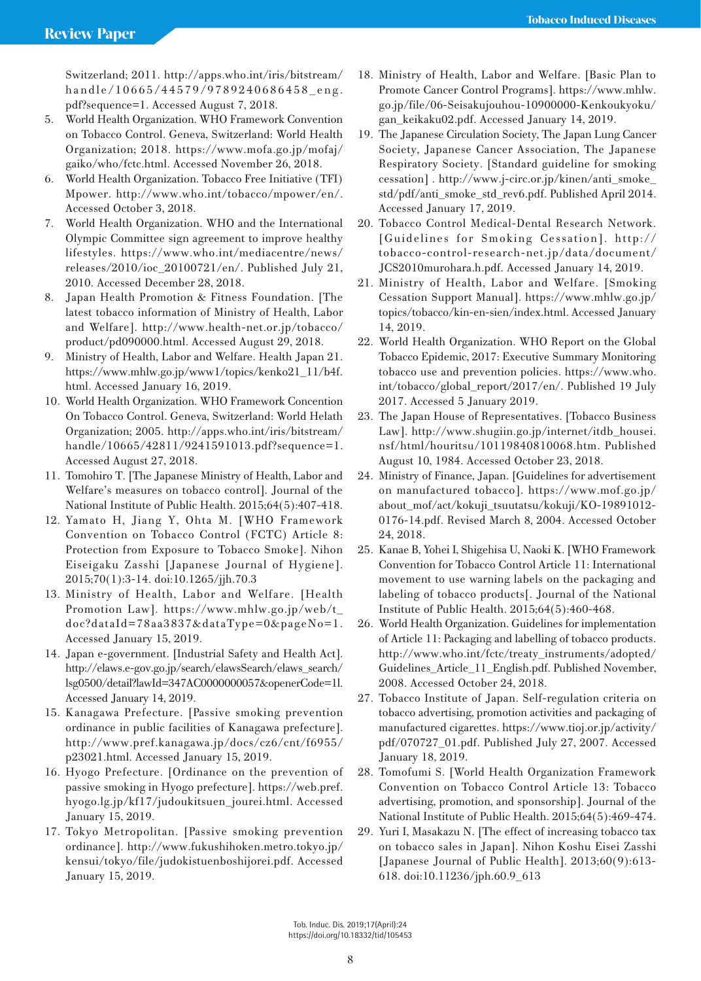Switzerland; 2011. http://apps.who.int/iris/bitstream/ handle/10665/44579/9789240686458\_eng. pdf?sequence=1. Accessed August 7, 2018.

- 5. World Health Organization. WHO Framework Convention on Tobacco Control. Geneva, Switzerland: World Health Organization; 2018. https://www.mofa.go.jp/mofaj/ gaiko/who/fctc.html. Accessed November 26, 2018.
- 6. World Health Organization. Tobacco Free Initiative (TFI) Mpower. http://www.who.int/tobacco/mpower/en/. Accessed October 3, 2018.
- 7. World Health Organization. WHO and the International Olympic Committee sign agreement to improve healthy lifestyles. https://www.who.int/mediacentre/news/ releases/2010/ioc\_20100721/en/. Published July 21, 2010. Accessed December 28, 2018.
- 8. Japan Health Promotion & Fitness Foundation. [The latest tobacco information of Ministry of Health, Labor and Welfare]. http://www.health-net.or.jp/tobacco/ product/pd090000.html. Accessed August 29, 2018.
- 9. Ministry of Health, Labor and Welfare. Health Japan 21. https://www.mhlw.go.jp/www1/topics/kenko21\_11/b4f. html. Accessed January 16, 2019.
- 10. World Health Organization. WHO Framework Concention On Tobacco Control. Geneva, Switzerland: World Helath Organization; 2005. http://apps.who.int/iris/bitstream/ handle/10665/42811/9241591013.pdf?sequence=1. Accessed August 27, 2018.
- 11. Tomohiro T. [The Japanese Ministry of Health, Labor and Welfare's measures on tobacco control]. Journal of the National Institute of Public Health. 2015;64(5):407-418.
- 12. Yamato H, Jiang Y, Ohta M. [WHO Framework Convention on Tobacco Control (FCTC) Article 8: Protection from Exposure to Tobacco Smoke]. Nihon Eiseigaku Zasshi [Japanese Journal of Hygiene]. 2015;70(1):3-14. doi:10.1265/jjh.70.3
- 13. Ministry of Health, Labor and Welfare. [Health Promotion Law]. https://www.mhlw.go.jp/web/t\_ doc?dataId=78aa3837&dataType=0&pageNo=1. Accessed January 15, 2019.
- 14. Japan e-government. [Industrial Safety and Health Act]. http://elaws.e-gov.go.jp/search/elawsSearch/elaws\_search/ lsg0500/detail?lawId=347AC0000000057&openerCode=1l. Accessed January 14, 2019.
- 15. Kanagawa Prefecture. [Passive smoking prevention ordinance in public facilities of Kanagawa prefecture]. http://www.pref.kanagawa.jp/docs/cz6/cnt/f6955/ p23021.html. Accessed January 15, 2019.
- 16. Hyogo Prefecture. [Ordinance on the prevention of passive smoking in Hyogo prefecture]. https://web.pref. hyogo.lg.jp/kf17/judoukitsuen\_jourei.html. Accessed January 15, 2019.
- 17. Tokyo Metropolitan. [Passive smoking prevention ordinance]. http://www.fukushihoken.metro.tokyo.jp/ kensui/tokyo/file/judokistuenboshijorei.pdf. Accessed January 15, 2019.
- 18. Ministry of Health, Labor and Welfare. [Basic Plan to Promote Cancer Control Programs]. https://www.mhlw. go.jp/file/06-Seisakujouhou-10900000-Kenkoukyoku/ gan\_keikaku02.pdf. Accessed January 14, 2019.
- 19. The Japanese Circulation Society, The Japan Lung Cancer Society, Japanese Cancer Association, The Japanese Respiratory Society. [Standard guideline for smoking cessation] . http://www.j-circ.or.jp/kinen/anti\_smoke\_ std/pdf/anti\_smoke\_std\_rev6.pdf. Published April 2014. Accessed January 17, 2019.
- 20. Tobacco Control Medical-Dental Research Network. [Guidelines for Smoking Cessation]. http:// tobacco-control-research-net.jp/data/document/ JCS2010murohara.h.pdf. Accessed January 14, 2019.
- 21. Ministry of Health, Labor and Welfare. [Smoking Cessation Support Manual]. https://www.mhlw.go.jp/ topics/tobacco/kin-en-sien/index.html. Accessed January 14, 2019.
- 22. World Health Organization. WHO Report on the Global Tobacco Epidemic, 2017: Executive Summary Monitoring tobacco use and prevention policies. https://www.who. int/tobacco/global\_report/2017/en/. Published 19 July 2017. Accessed 5 January 2019.
- 23. The Japan House of Representatives. [Tobacco Business Law]. http://www.shugiin.go.jp/internet/itdb\_housei. nsf/html/houritsu/10119840810068.htm. Published August 10, 1984. Accessed October 23, 2018.
- 24. Ministry of Finance, Japan. [Guidelines for advertisement on manufactured tobacco]. https://www.mof.go.jp/ about\_mof/act/kokuji\_tsuutatsu/kokuji/KO-19891012- 0176-14.pdf. Revised March 8, 2004. Accessed October 24, 2018.
- 25. Kanae B, Yohei I, Shigehisa U, Naoki K. [WHO Framework Convention for Tobacco Control Article 11: International movement to use warning labels on the packaging and labeling of tobacco products[. Journal of the National Institute of Public Health. 2015;64(5):460-468.
- 26. World Health Organization. Guidelines for implementation of Article 11: Packaging and labelling of tobacco products. http://www.who.int/fctc/treaty\_instruments/adopted/ Guidelines\_Article\_11\_English.pdf. Published November, 2008. Accessed October 24, 2018.
- 27. Tobacco Institute of Japan. Self-regulation criteria on tobacco advertising, promotion activities and packaging of manufactured cigarettes. https://www.tioj.or.jp/activity/ pdf/070727\_01.pdf. Published July 27, 2007. Accessed January 18, 2019.
- 28. Tomofumi S. [World Health Organization Framework Convention on Tobacco Control Article 13: Tobacco advertising, promotion, and sponsorship]. Journal of the National Institute of Public Health. 2015;64(5):469-474.
- 29. Yuri I, Masakazu N. [The effect of increasing tobacco tax on tobacco sales in Japan]. Nihon Koshu Eisei Zasshi [Japanese Journal of Public Health]. 2013;60(9):613- 618. doi:10.11236/jph.60.9\_613